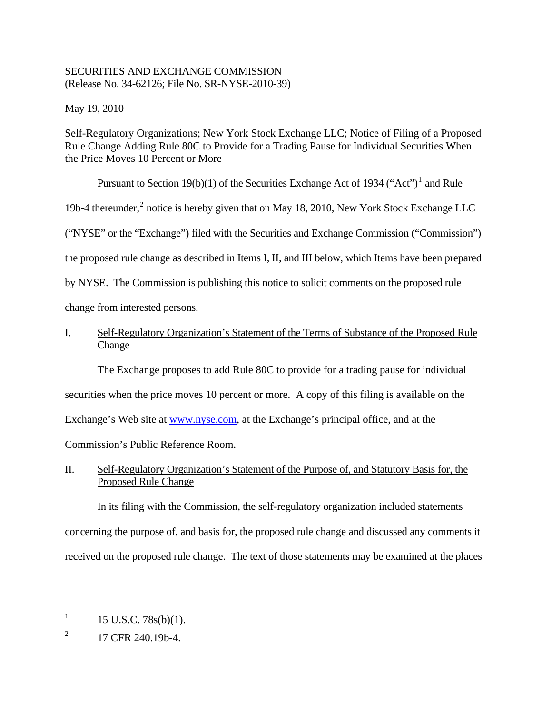### SECURITIES AND EXCHANGE COMMISSION (Release No. 34-62126; File No. SR-NYSE-2010-39)

May 19, 2010

Self-Regulatory Organizations; New York Stock Exchange LLC; Notice of Filing of a Proposed Rule Change Adding Rule 80C to Provide for a Trading Pause for Individual Securities When the Price Moves 10 Percent or More

Pursuant to Section [1](#page-0-0)9(b)(1) of the Securities Exchange Act of 1934 ("Act")<sup>1</sup> and Rule 19b-4 thereunder,<sup>[2](#page-0-1)</sup> notice is hereby given that on May 18, 2010, New York Stock Exchange LLC ("NYSE" or the "Exchange") filed with the Securities and Exchange Commission ("Commission") the proposed rule change as described in Items I, II, and III below, which Items have been prepared by NYSE. The Commission is publishing this notice to solicit comments on the proposed rule change from interested persons.

## I. Self-Regulatory Organization's Statement of the Terms of Substance of the Proposed Rule Change

The Exchange proposes to add Rule 80C to provide for a trading pause for individual securities when the price moves 10 percent or more. A copy of this filing is available on the Exchange's Web site at [www.nyse.com,](http://www.nyse.com/) at the Exchange's principal office, and at the Commission's Public Reference Room.

# II. Self-Regulatory Organization's Statement of the Purpose of, and Statutory Basis for, the Proposed Rule Change

In its filing with the Commission, the self-regulatory organization included statements concerning the purpose of, and basis for, the proposed rule change and discussed any comments it received on the proposed rule change. The text of those statements may be examined at the places

<span id="page-0-0"></span><sup>|&</sup>lt;br>|<br>| 15 U.S.C. 78s(b)(1).

<span id="page-0-1"></span><sup>2</sup> 17 CFR 240.19b-4.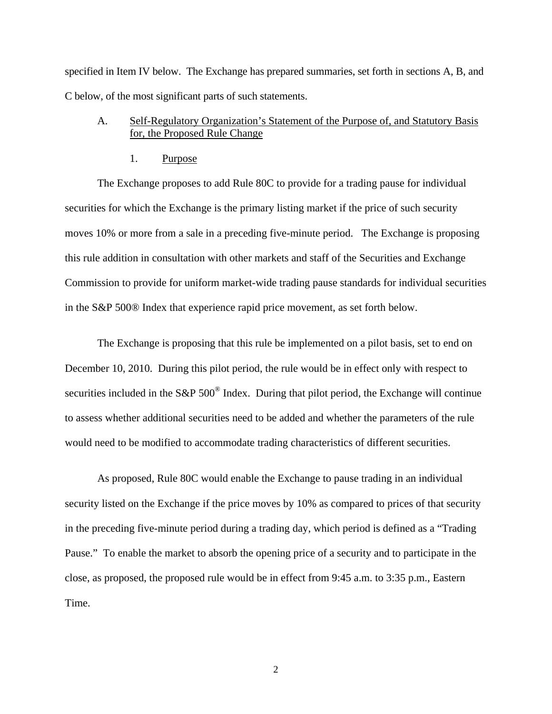specified in Item IV below. The Exchange has prepared summaries, set forth in sections A, B, and C below, of the most significant parts of such statements.

### A. Self-Regulatory Organization's Statement of the Purpose of, and Statutory Basis for, the Proposed Rule Change

1. Purpose

The Exchange proposes to add Rule 80C to provide for a trading pause for individual securities for which the Exchange is the primary listing market if the price of such security moves 10% or more from a sale in a preceding five-minute period. The Exchange is proposing this rule addition in consultation with other markets and staff of the Securities and Exchange Commission to provide for uniform market-wide trading pause standards for individual securities in the S&P 500® Index that experience rapid price movement, as set forth below.

The Exchange is proposing that this rule be implemented on a pilot basis, set to end on December 10, 2010. During this pilot period, the rule would be in effect only with respect to securities included in the S&P 500<sup>®</sup> Index. During that pilot period, the Exchange will continue to assess whether additional securities need to be added and whether the parameters of the rule would need to be modified to accommodate trading characteristics of different securities.

As proposed, Rule 80C would enable the Exchange to pause trading in an individual security listed on the Exchange if the price moves by 10% as compared to prices of that security in the preceding five-minute period during a trading day, which period is defined as a "Trading Pause." To enable the market to absorb the opening price of a security and to participate in the close, as proposed, the proposed rule would be in effect from 9:45 a.m. to 3:35 p.m., Eastern Time.

2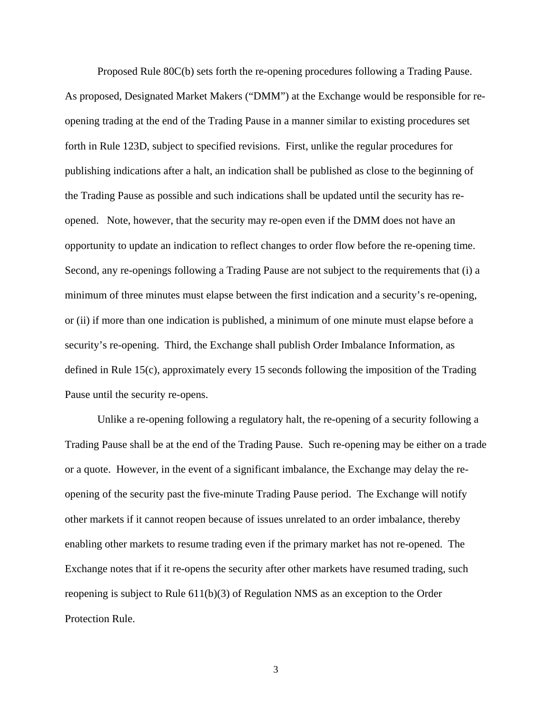Proposed Rule 80C(b) sets forth the re-opening procedures following a Trading Pause. As proposed, Designated Market Makers ("DMM") at the Exchange would be responsible for reopening trading at the end of the Trading Pause in a manner similar to existing procedures set forth in Rule 123D, subject to specified revisions. First, unlike the regular procedures for publishing indications after a halt, an indication shall be published as close to the beginning of the Trading Pause as possible and such indications shall be updated until the security has reopened. Note, however, that the security may re-open even if the DMM does not have an opportunity to update an indication to reflect changes to order flow before the re-opening time. Second, any re-openings following a Trading Pause are not subject to the requirements that (i) a minimum of three minutes must elapse between the first indication and a security's re-opening, or (ii) if more than one indication is published, a minimum of one minute must elapse before a security's re-opening. Third, the Exchange shall publish Order Imbalance Information, as defined in Rule 15(c), approximately every 15 seconds following the imposition of the Trading Pause until the security re-opens.

Unlike a re-opening following a regulatory halt, the re-opening of a security following a Trading Pause shall be at the end of the Trading Pause. Such re-opening may be either on a trade or a quote. However, in the event of a significant imbalance, the Exchange may delay the reopening of the security past the five-minute Trading Pause period. The Exchange will notify other markets if it cannot reopen because of issues unrelated to an order imbalance, thereby enabling other markets to resume trading even if the primary market has not re-opened. The Exchange notes that if it re-opens the security after other markets have resumed trading, such reopening is subject to Rule 611(b)(3) of Regulation NMS as an exception to the Order Protection Rule.

3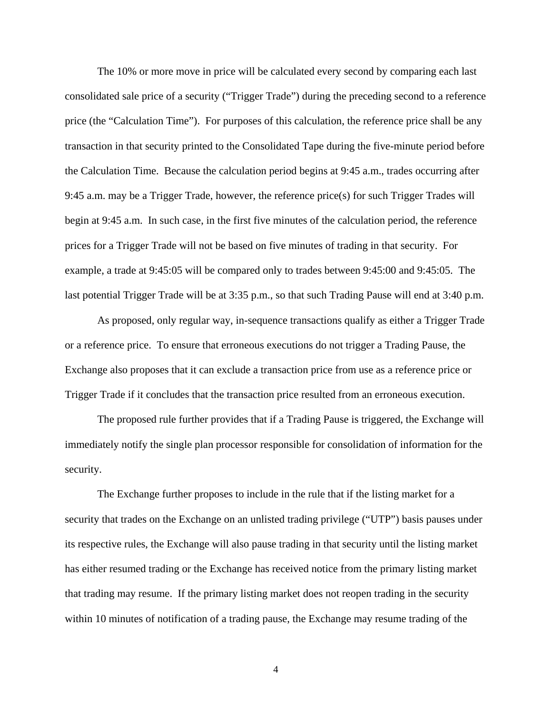The 10% or more move in price will be calculated every second by comparing each last consolidated sale price of a security ("Trigger Trade") during the preceding second to a reference price (the "Calculation Time"). For purposes of this calculation, the reference price shall be any transaction in that security printed to the Consolidated Tape during the five-minute period before the Calculation Time. Because the calculation period begins at 9:45 a.m., trades occurring after 9:45 a.m. may be a Trigger Trade, however, the reference price(s) for such Trigger Trades will begin at 9:45 a.m. In such case, in the first five minutes of the calculation period, the reference prices for a Trigger Trade will not be based on five minutes of trading in that security. For example, a trade at 9:45:05 will be compared only to trades between 9:45:00 and 9:45:05. The last potential Trigger Trade will be at 3:35 p.m., so that such Trading Pause will end at 3:40 p.m.

As proposed, only regular way, in-sequence transactions qualify as either a Trigger Trade or a reference price. To ensure that erroneous executions do not trigger a Trading Pause, the Exchange also proposes that it can exclude a transaction price from use as a reference price or Trigger Trade if it concludes that the transaction price resulted from an erroneous execution.

The proposed rule further provides that if a Trading Pause is triggered, the Exchange will immediately notify the single plan processor responsible for consolidation of information for the security.

The Exchange further proposes to include in the rule that if the listing market for a security that trades on the Exchange on an unlisted trading privilege ("UTP") basis pauses under its respective rules, the Exchange will also pause trading in that security until the listing market has either resumed trading or the Exchange has received notice from the primary listing market that trading may resume. If the primary listing market does not reopen trading in the security within 10 minutes of notification of a trading pause, the Exchange may resume trading of the

4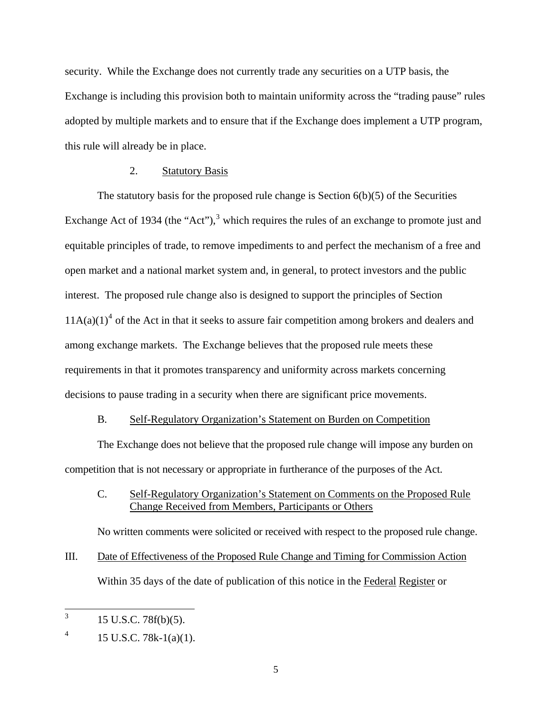security. While the Exchange does not currently trade any securities on a UTP basis, the Exchange is including this provision both to maintain uniformity across the "trading pause" rules adopted by multiple markets and to ensure that if the Exchange does implement a UTP program, this rule will already be in place.

### 2. Statutory Basis

The statutory basis for the proposed rule change is Section 6(b)(5) of the Securities Exchange Act of 19[3](#page-4-0)4 (the "Act"), $3$  which requires the rules of an exchange to promote just and equitable principles of trade, to remove impediments to and perfect the mechanism of a free and open market and a national market system and, in general, to protect investors and the public interest. The proposed rule change also is designed to support the principles of Section  $11A(a)(1)<sup>4</sup>$  $11A(a)(1)<sup>4</sup>$  $11A(a)(1)<sup>4</sup>$  of the Act in that it seeks to assure fair competition among brokers and dealers and among exchange markets. The Exchange believes that the proposed rule meets these requirements in that it promotes transparency and uniformity across markets concerning decisions to pause trading in a security when there are significant price movements.

### B. Self-Regulatory Organization's Statement on Burden on Competition

The Exchange does not believe that the proposed rule change will impose any burden on competition that is not necessary or appropriate in furtherance of the purposes of the Act.

C. Self-Regulatory Organization's Statement on Comments on the Proposed Rule Change Received from Members, Participants or Others

No written comments were solicited or received with respect to the proposed rule change.

III. Date of Effectiveness of the Proposed Rule Change and Timing for Commission Action Within 35 days of the date of publication of this notice in the Federal Register or

<span id="page-4-0"></span> 3 15 U.S.C. 78f(b)(5).

<span id="page-4-1"></span><sup>4</sup> 15 U.S.C. 78k-1(a)(1).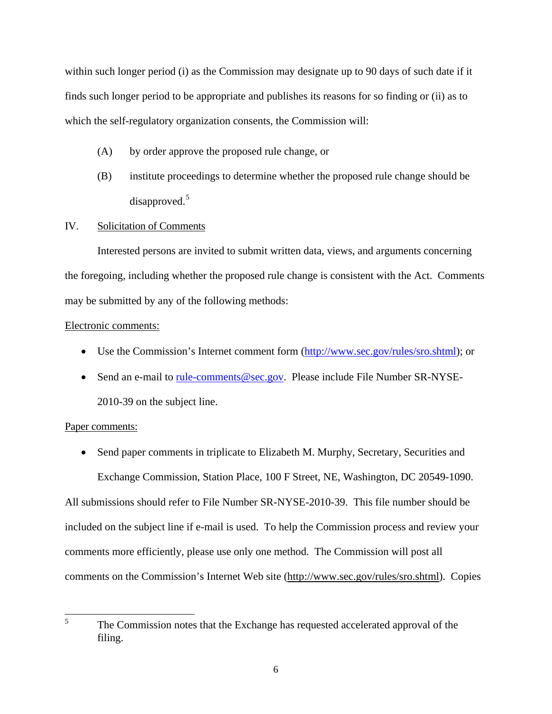within such longer period (i) as the Commission may designate up to 90 days of such date if it finds such longer period to be appropriate and publishes its reasons for so finding or (ii) as to which the self-regulatory organization consents, the Commission will:

- (A) by order approve the proposed rule change, or
- (B) institute proceedings to determine whether the proposed rule change should be disapproved.[5](#page-5-0)

### IV. Solicitation of Comments

Interested persons are invited to submit written data, views, and arguments concerning the foregoing, including whether the proposed rule change is consistent with the Act. Comments may be submitted by any of the following methods:

### Electronic comments:

- Use the Commission's Internet comment form (<http://www.sec.gov/rules/sro.shtml>); or
- Send an e-mail to [rule-comments@sec.gov.](mailto:rule-comments@sec.gov) Please include File Number SR-NYSE-2010-39 on the subject line.

### Paper comments:

• Send paper comments in triplicate to Elizabeth M. Murphy, Secretary, Securities and Exchange Commission, Station Place, 100 F Street, NE, Washington, DC 20549-1090.

All submissions should refer to File Number SR-NYSE-2010-39. This file number should be included on the subject line if e-mail is used. To help the Commission process and review your comments more efficiently, please use only one method. The Commission will post all comments on the Commission's Internet Web site (http://www.sec.gov/rules/sro.shtml). Copies

<span id="page-5-0"></span> 5 The Commission notes that the Exchange has requested accelerated approval of the filing.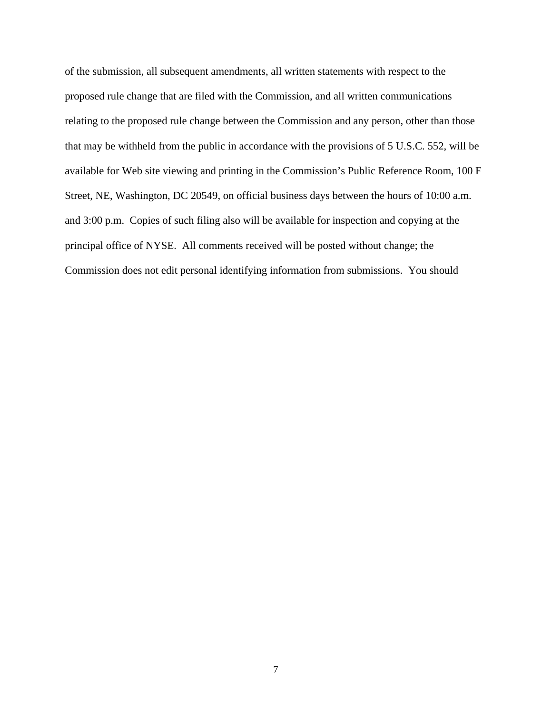of the submission, all subsequent amendments, all written statements with respect to the proposed rule change that are filed with the Commission, and all written communications relating to the proposed rule change between the Commission and any person, other than those that may be withheld from the public in accordance with the provisions of 5 U.S.C. 552, will be available for Web site viewing and printing in the Commission's Public Reference Room, 100 F Street, NE, Washington, DC 20549, on official business days between the hours of 10:00 a.m. and 3:00 p.m. Copies of such filing also will be available for inspection and copying at the principal office of NYSE. All comments received will be posted without change; the Commission does not edit personal identifying information from submissions. You should